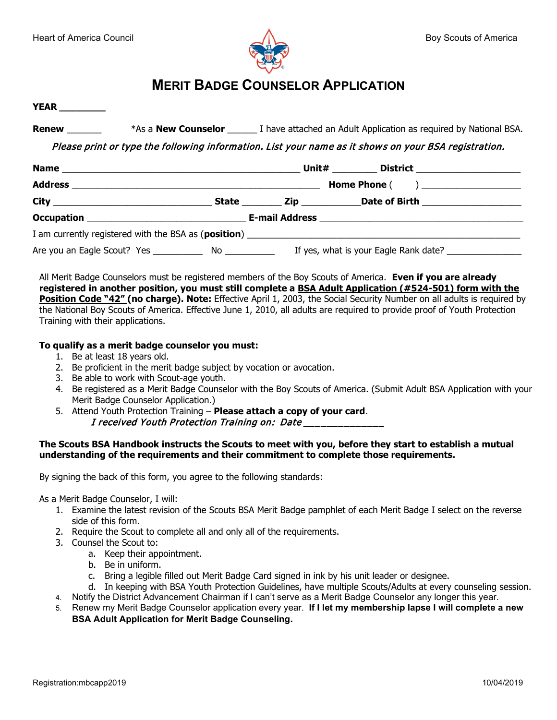



# **MERIT BADGE COUNSELOR APPLICATION**

**YEAR \_\_\_\_\_\_\_\_**

**Renew <b>Example 3** \*As a **New Counselor Let a** I have attached an Adult Application as required by National BSA.

Please print or type the following information. List your name as it shows on your BSA registration.

|  | Unit#<br>District _____________________ |  |  |
|--|-----------------------------------------|--|--|
|  |                                         |  |  |
|  |                                         |  |  |
|  |                                         |  |  |
|  |                                         |  |  |
|  |                                         |  |  |

All Merit Badge Counselors must be registered members of the Boy Scouts of America. **Even if you are already registered in another position, you must still complete a BSA Adult Application (#524-501) form with the Position Code "42" (no charge). Note:** Effective April 1, 2003, the Social Security Number on all adults is required by the National Boy Scouts of America. Effective June 1, 2010, all adults are required to provide proof of Youth Protection Training with their applications.

### **To qualify as a merit badge counselor you must:**

- 1. Be at least 18 years old.
- 2. Be proficient in the merit badge subject by vocation or avocation.
- 3. Be able to work with Scout-age youth.
- 4. Be registered as a Merit Badge Counselor with the Boy Scouts of America. (Submit Adult BSA Application with your Merit Badge Counselor Application.)
- 5. Attend Youth Protection Training **Please attach a copy of your card**. I received Youth Protection Training on: Date

#### **The Scouts BSA Handbook instructs the Scouts to meet with you, before they start to establish a mutual understanding of the requirements and their commitment to complete those requirements.**

By signing the back of this form, you agree to the following standards:

As a Merit Badge Counselor, I will:

- 1. Examine the latest revision of the Scouts BSA Merit Badge pamphlet of each Merit Badge I select on the reverse side of this form.
- 2. Require the Scout to complete all and only all of the requirements.
- 3. Counsel the Scout to:
	- a. Keep their appointment.
	- b. Be in uniform.
	- c. Bring a legible filled out Merit Badge Card signed in ink by his unit leader or designee.
- d. In keeping with BSA Youth Protection Guidelines, have multiple Scouts/Adults at every counseling session. 4. Notify the District Advancement Chairman if I can't serve as a Merit Badge Counselor any longer this year.
- 5. Renew my Merit Badge Counselor application every year. **If I let my membership lapse I will complete a new**

**BSA Adult Application for Merit Badge Counseling.**